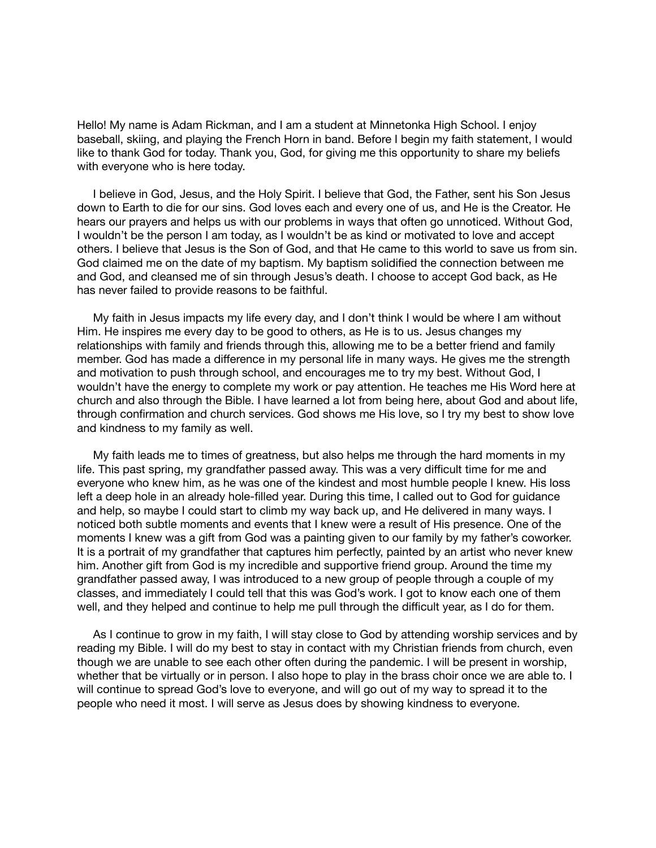Hello! My name is Adam Rickman, and I am a student at Minnetonka High School. I enjoy baseball, skiing, and playing the French Horn in band. Before I begin my faith statement, I would like to thank God for today. Thank you, God, for giving me this opportunity to share my beliefs with everyone who is here today.

 I believe in God, Jesus, and the Holy Spirit. I believe that God, the Father, sent his Son Jesus down to Earth to die for our sins. God loves each and every one of us, and He is the Creator. He hears our prayers and helps us with our problems in ways that often go unnoticed. Without God, I wouldn't be the person I am today, as I wouldn't be as kind or motivated to love and accept others. I believe that Jesus is the Son of God, and that He came to this world to save us from sin. God claimed me on the date of my baptism. My baptism solidified the connection between me and God, and cleansed me of sin through Jesus's death. I choose to accept God back, as He has never failed to provide reasons to be faithful.

 My faith in Jesus impacts my life every day, and I don't think I would be where I am without Him. He inspires me every day to be good to others, as He is to us. Jesus changes my relationships with family and friends through this, allowing me to be a better friend and family member. God has made a difference in my personal life in many ways. He gives me the strength and motivation to push through school, and encourages me to try my best. Without God, I wouldn't have the energy to complete my work or pay attention. He teaches me His Word here at church and also through the Bible. I have learned a lot from being here, about God and about life, through confirmation and church services. God shows me His love, so I try my best to show love and kindness to my family as well.

 My faith leads me to times of greatness, but also helps me through the hard moments in my life. This past spring, my grandfather passed away. This was a very difficult time for me and everyone who knew him, as he was one of the kindest and most humble people I knew. His loss left a deep hole in an already hole-filled year. During this time, I called out to God for guidance and help, so maybe I could start to climb my way back up, and He delivered in many ways. I noticed both subtle moments and events that I knew were a result of His presence. One of the moments I knew was a gift from God was a painting given to our family by my father's coworker. It is a portrait of my grandfather that captures him perfectly, painted by an artist who never knew him. Another gift from God is my incredible and supportive friend group. Around the time my grandfather passed away, I was introduced to a new group of people through a couple of my classes, and immediately I could tell that this was God's work. I got to know each one of them well, and they helped and continue to help me pull through the difficult year, as I do for them.

 As I continue to grow in my faith, I will stay close to God by attending worship services and by reading my Bible. I will do my best to stay in contact with my Christian friends from church, even though we are unable to see each other often during the pandemic. I will be present in worship, whether that be virtually or in person. I also hope to play in the brass choir once we are able to. I will continue to spread God's love to everyone, and will go out of my way to spread it to the people who need it most. I will serve as Jesus does by showing kindness to everyone.